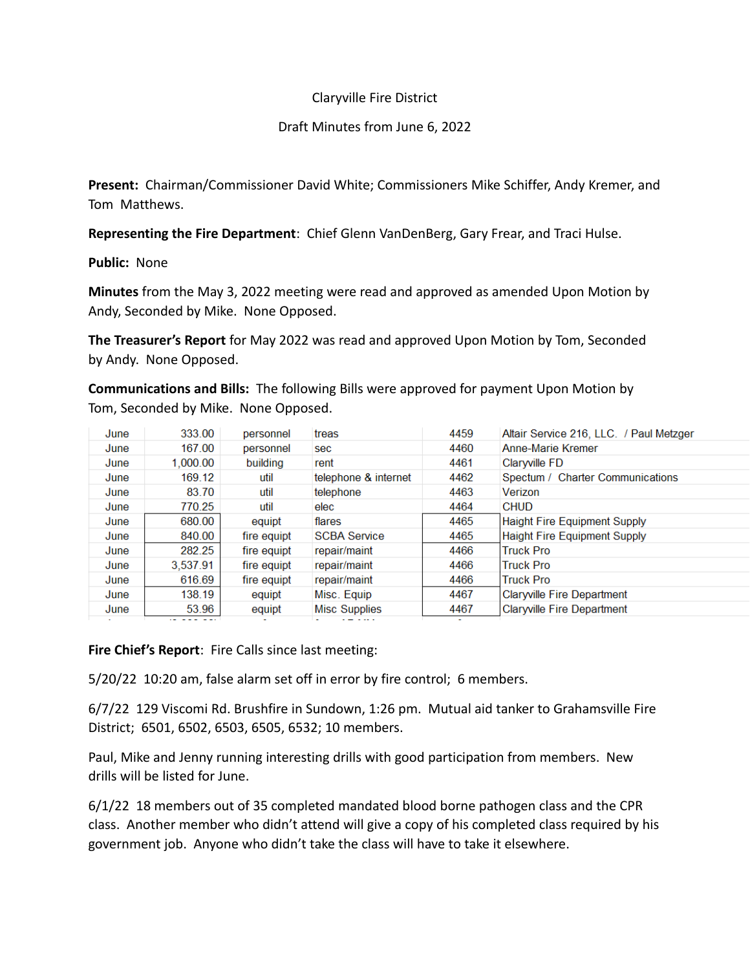# Claryville Fire District

## Draft Minutes from June 6, 2022

**Present:** Chairman/Commissioner David White; Commissioners Mike Schiffer, Andy Kremer, and Tom Matthews.

**Representing the Fire Department**: Chief Glenn VanDenBerg, Gary Frear, and Traci Hulse.

**Public:** None

**Minutes** from the May 3, 2022 meeting were read and approved as amended Upon Motion by Andy, Seconded by Mike. None Opposed.

**The Treasurer's Report** for May 2022 was read and approved Upon Motion by Tom, Seconded by Andy. None Opposed.

**Communications and Bills:** The following Bills were approved for payment Upon Motion by Tom, Seconded by Mike. None Opposed.

|      | 333.00   |             |                      | 4459 |                                         |
|------|----------|-------------|----------------------|------|-----------------------------------------|
| June |          | personnel   | treas                |      | Altair Service 216, LLC. / Paul Metzger |
| June | 167.00   | personnel   | sec                  | 4460 | Anne-Marie Kremer                       |
| June | 1,000.00 | building    | rent                 | 4461 | <b>Clarwille FD</b>                     |
| June | 169.12   | util        | telephone & internet | 4462 | Spectum / Charter Communications        |
| June | 83.70    | util        | telephone            | 4463 | Verizon                                 |
| June | 770.25   | util        | elec                 | 4464 | <b>CHUD</b>                             |
| June | 680.00   | equipt      | flares               | 4465 | <b>Haight Fire Equipment Supply</b>     |
| June | 840.00   | fire equipt | <b>SCBA Service</b>  | 4465 | <b>Haight Fire Equipment Supply</b>     |
| June | 282.25   | fire equipt | repair/maint         | 4466 | <b>Truck Pro</b>                        |
| June | 3.537.91 | fire equipt | repair/maint         | 4466 | <b>Truck Pro</b>                        |
| June | 616.69   | fire equipt | repair/maint         | 4466 | <b>Truck Pro</b>                        |
| June | 138.19   | equipt      | Misc. Equip          | 4467 | <b>Claryville Fire Department</b>       |
| June | 53.96    | equipt      | <b>Misc Supplies</b> | 4467 | <b>Claryville Fire Department</b>       |
|      |          |             |                      |      |                                         |

**Fire Chief's Report**: Fire Calls since last meeting:

5/20/22 10:20 am, false alarm set off in error by fire control; 6 members.

6/7/22 129 Viscomi Rd. Brushfire in Sundown, 1:26 pm. Mutual aid tanker to Grahamsville Fire District; 6501, 6502, 6503, 6505, 6532; 10 members.

Paul, Mike and Jenny running interesting drills with good participation from members. New drills will be listed for June.

6/1/22 18 members out of 35 completed mandated blood borne pathogen class and the CPR class. Another member who didn't attend will give a copy of his completed class required by his government job. Anyone who didn't take the class will have to take it elsewhere.